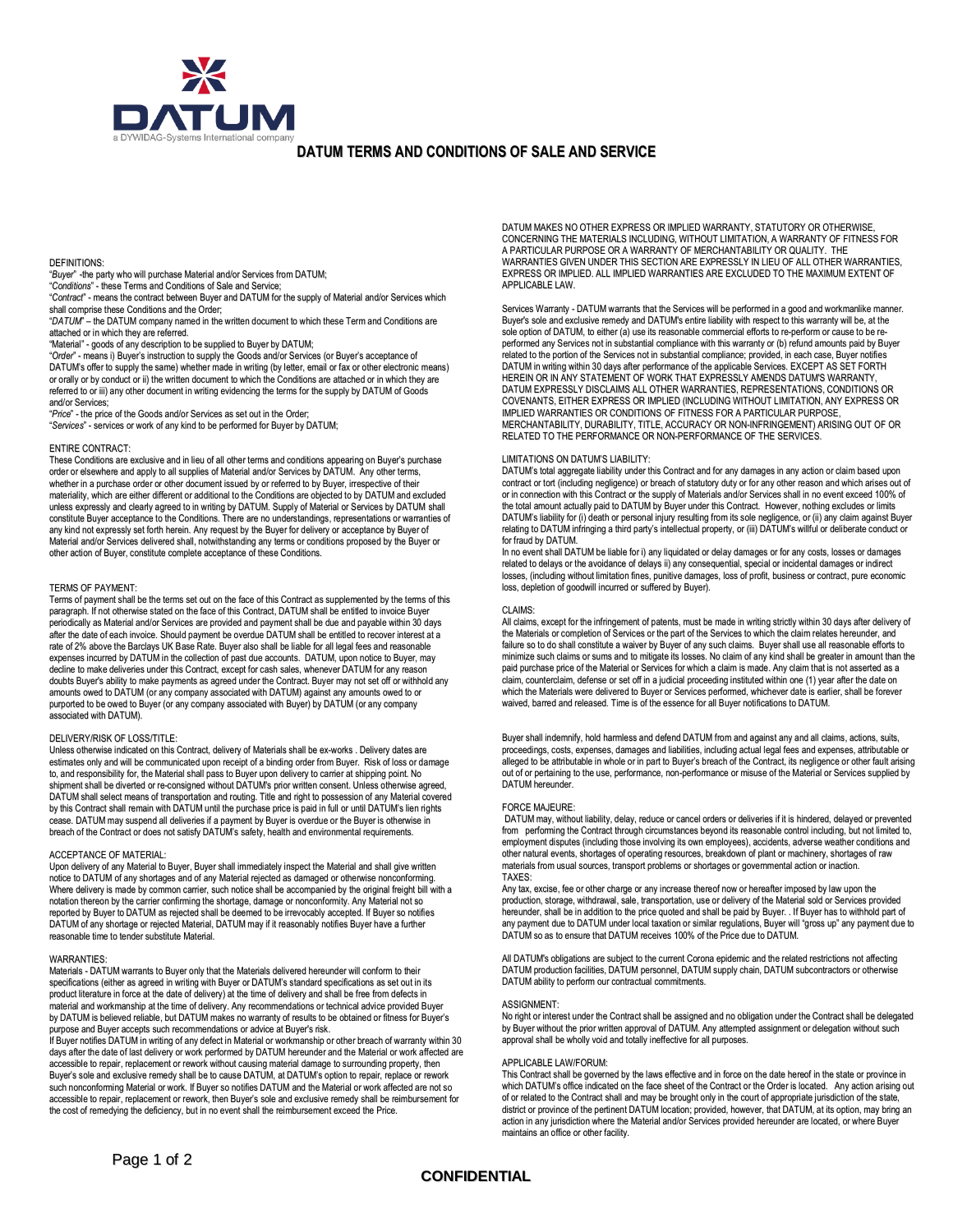

## **DATUM TERMS AND CONDITIONS OF SALE AND SERVICE**

## DEFINITIONS:

"*Buyer*" -the party who will purchase Material and/or Services from DATUM; "*Conditions*" - these Terms and Conditions of Sale and Service;

"*Contract*" - means the contract between Buyer and DATUM for the supply of Material and/or Services which shall comprise these Conditions and the Order;

"*DATUM*" – the DATUM company named in the written document to which these Term and Conditions are attached or in which they are referred.

"Material" - goods of any description to be supplied to Buyer by DATUM;

"*Order*" - means i) Buyer's instruction to supply the Goods and/or Services (or Buyer's acceptance of DATUM's offer to supply the same) whether made in writing (by letter, email or fax or other electronic means) or orally or by conduct or ii) the written document to which the Conditions are attached or in which they are referred to or iii) any other document in writing evidencing the terms for the supply by DATUM of Goods and/or Services;

"*Price*" - the price of the Goods and/or Services as set out in the Order;

"*Services*" - services or work of any kind to be performed for Buyer by DATUM;

#### ENTIRE CONTRACT:

These Conditions are exclusive and in lieu of all other terms and conditions appearing on Buyer's purchase order or elsewhere and apply to all supplies of Material and/or Services by DATUM. Any other terms, whether in a purchase order or other document issued by or referred to by Buyer, irrespective of their materiality, which are either different or additional to the Conditions are objected to by DATUM and excluded unless expressly and clearly agreed to in writing by DATUM. Supply of Material or Services by DATUM shall constitute Buyer acceptance to the Conditions. There are no understandings, representations or warranties of any kind not expressly set forth herein. Any request by the Buyer for delivery or acceptance by Buyer of Material and/or Services delivered shall, notwithstanding any terms or conditions proposed by the Buyer or other action of Buyer, constitute complete acceptance of these Conditions.

### TERMS OF PAYMENT:

Terms of payment shall be the terms set out on the face of this Contract as supplemented by the terms of this paragraph. If not otherwise stated on the face of this Contract, DATUM shall be entitled to invoice Buyer periodically as Material and/or Services are provided and payment shall be due and payable within 30 days after the date of each invoice. Should payment be overdue DATUM shall be entitled to recover interest at a rate of 2% above the Barclays UK Base Rate. Buyer also shall be liable for all legal fees and reasonable expenses incurred by DATUM in the collection of past due accounts. DATUM, upon notice to Buyer, may decline to make deliveries under this Contract, except for cash sales, whenever DATUM for any reason doubts Buyer's ability to make payments as agreed under the Contract. Buyer may not set off or withhold any amounts owed to DATUM (or any company associated with DATUM) against any amounts owed to or purported to be owed to Buyer (or any company associated with Buyer) by DATUM (or any company associated with DATUM).

### DELIVERY/RISK OF LOSS/TITLE:

Unless otherwise indicated on this Contract, delivery of Materials shall be ex-works . Delivery dates are estimates only and will be communicated upon receipt of a binding order from Buyer. Risk of loss or damage to, and responsibility for, the Material shall pass to Buyer upon delivery to carrier at shipping point. No shipment shall be diverted or re-consigned without DATUM's prior written consent. Unless otherwise agreed, DATUM shall select means of transportation and routing. Title and right to possession of any Material covered by this Contract shall remain with DATUM until the purchase price is paid in full or until DATUM's lien rights cease. DATUM may suspend all deliveries if a payment by Buyer is overdue or the Buyer is otherwise in breach of the Contract or does not satisfy DATUM's safety, health and environmental requirements.

## ACCEPTANCE OF MATERIAL:

Upon delivery of any Material to Buyer, Buyer shall immediately inspect the Material and shall give written notice to DATUM of any shortages and of any Material rejected as damaged or otherwise nonconforming. Where delivery is made by common carrier, such notice shall be accompanied by the original freight bill with a notation thereon by the carrier confirming the shortage, damage or nonconformity. Any Material not so reported by Buyer to DATUM as rejected shall be deemed to be irrevocably accepted. If Buyer so notifies DATUM of any shortage or rejected Material, DATUM may if it reasonably notifies Buyer have a further reasonable time to tender substitute Material.

#### WARRANTIES:

Materials - DATUM warrants to Buyer only that the Materials delivered hereunder will conform to their specifications (either as agreed in writing with Buyer or DATUM's standard specifications as set out in its product literature in force at the date of delivery) at the time of delivery and shall be free from defects in material and workmanship at the time of delivery. Any recommendations or technical advice provided Buyer by DATUMis believed reliable, but DATUM makes no warranty of results to be obtained or fitness for Buyer's purpose and Buyer accepts such recommendations or advice at Buyer's risk.

If Buyer notifies DATUMin writing of any defect in Material or workmanship or other breach of warranty within 30 days after the date of last delivery or work performed by DATUM hereunder and the Material or work affected are accessible to repair, replacement or rework without causing material damage to surrounding property, then Buyer's sole and exclusive remedy shall be to cause DATUM, at DATUM's option to repair, replace or rework such nonconforming Material or work. If Buyer so notifies DATUM and the Material or work affected are not so accessible to repair, replacement or rework, then Buyer's sole and exclusive remedy shall be reimbursement for<br>the cost of remedying the deficiency, but in no event shall the reimbursement exceed the Price.

DATUM MAKES NO OTHER EXPRESS OR IMPLIED WARRANTY, STATUTORY OR OTHERWISE, CONCERNING THE MATERIALS INCLUDING, WITHOUT LIMITATION, A WARRANTY OF FITNESS FOR A PARTICULAR PURPOSE OR A WARRANTY OF MERCHANTABILITY OR QUALITY. THE WARRANTIES GIVEN UNDER THIS SECTION ARE EXPRESSLY IN LIEU OF ALL OTHER WARRANTIES, EXPRESS OR IMPLIED. ALL IMPLIED WARRANTIES ARE EXCLUDED TO THE MAXIMUM EXTENT OF APPLICABLE LAW.

Services Warranty - DATUM warrants that the Services will be performed in a good and workmanlike manner. Buyer's sole and exclusive remedy and DATUM's entire liability with respect to this warranty will be, at the sole option of DATUM, to either (a) use its reasonable commercial efforts to re-perform or cause to be reperformed any Services not in substantial compliance with this warranty or (b) refund amounts paid by Buyer related to the portion of the Services not in substantial compliance; provided, in each case, Buyer notifies DATUMin writing within 30 days after performance of the applicable Services. EXCEPT AS SET FORTH HEREIN OR IN ANY STATEMENT OF WORK THAT EXPRESSLY AMENDS DATUM'S WARRANTY, DATUM EXPRESSLY DISCLAIMS ALL OTHER WARRANTIES, REPRESENTATIONS, CONDITIONS OR COVENANTS, EITHER EXPRESS OR IMPLIED (INCLUDING WITHOUT LIMITATION, ANY EXPRESS OR IMPLIED WARRANTIES OR CONDITIONS OF FITNESS FOR A PARTICULAR PURPOSE MERCHANTABILITY, DURABILITY, TITLE, ACCURACY OR NON-INFRINGEMENT) ARISING OUT OF OR RELATED TO THE PERFORMANCE OR NON-PERFORMANCE OF THE SERVICES.

## LIMITATIONS ON DATUM'S LIABILITY:

DATUM's total aggregate liability under this Contract and for any damages in any action or claim based upon contract or tort (including negligence) or breach of statutory duty or for any other reason and which arises out of<br>or in connection with this Contract or the supply of Materials and/or Services shall in no event exceed 10 the total amount actually paid to DATUM by Buyer under this Contract. However, nothing excludes or limits DATUM's liability for (i) death or personal injury resulting from its sole negligence, or (ii) any claim against Buyer<br>relating to DATUM infringing a third party's intellectual property, or (iii) DATUM's willful or deliber for fraud by DATUM.

In no event shall DATUM be liable for i) any liquidated or delay damages or for any costs, losses or damages related to delays or the avoidance of delays ii) any consequential, special or incidental damages or indirect losses, (including without limitation fines, punitive damages, loss of profit, business or contract, pure economic loss, depletion of goodwill incurred or suffered by Buyer).

#### CLAIMS:

All claims, except for the infringement of patents, must be made in writing strictly within 30 days after delivery of the Materials or completion of Services or the part of the Services to which the claim relates hereunder, and failure so to do shall constitute a waiver by Buyer of any such claims. Buyer shall use all reasonable efforts to minimize such claims or sums and to mitigate its losses. No claim of any kind shall be greater in amount than the paid purchase price of the Material or Services for which a claim is made. Any claim that is not asserted as a claim, counterclaim, defense or set off in a judicial proceeding instituted within one (1) year after the date on which the Materials were delivered to Buyer or Services performed, whichever date is earlier, shall be forever waived, barred and released. Time is of the essence for all Buyer notifications to DATUM.

Buyer shall indemnify, hold harmless and defend DATUM from and against any and all claims, actions, suits, proceedings, costs, expenses, damages and liabilities, including actual legal fees and expenses, attributable or alleged to be attributable in whole or in part to Buyer's breach of the Contract, its negligence or other fault arising out of or pertaining to the use, performance, non-performance or misuse of the Material or Services supplied by DATUM hereunder

#### FORCE MAJEURE:

DATUM may, without liability, delay, reduce or cancel orders or deliveries if it is hindered, delayed or prevented<br>from performing the Contract through circumstances beyond its reasonable control including, but not limited employment disputes (including those involving its own employees), accidents, adverse weather conditions and other natural events, shortages of operating resources, breakdown of plant or machinery, shortages of raw materials from usual sources, transport problems or shortages or governmental action or inaction. TAXES:

Any tax, excise, fee or other charge or any increase thereof now or hereafter imposed by law upon the production, storage, withdrawal, sale, transportation, use or delivery of the Material sold or Services provided hereunder, shall be in addition to the price quoted and shall be paid by Buyer. . If Buyer has to withhold part of any payment due to DATUM under local taxation or similar regulations, Buyer will "gross up" any payment due to DATUM so as to ensure that DATUM receives 100% of the Price due to DATUM.

All DATUM's obligations are subject to the current Corona epidemic and the related restrictions not affecting DATUM production facilities, DATUM personnel, DATUM supply chain, DATUM subcontractors or otherwise DATUM ability to perform our contractual commitments.

#### ASSIGNMENT:

No right or interest under the Contract shall be assigned and no obligation under the Contract shall be delegated<br>by Buyer without the prior written approval of DATUM. Any attempted assignment or delegation without such approval shall be wholly void and totally ineffective for all purposes.

#### APPLICABLE LAW/FORUM:

This Contract shall be governed by the laws effective and in force on the date hereof in the state or province in which DATUM's office indicated on the face sheet of the Contract or the Order is located. Any action arising out of or related to the Contract shall and may be brought only in the court of appropriate jurisdiction of the state, district or province of the pertinent DATUM location; provided, however, that DATUM, at its option, may bring an action in any jurisdiction where the Material and/or Services provided hereunder are located, or where Buyer maintains an office or other facility.

# **CONFIDENTIAL**